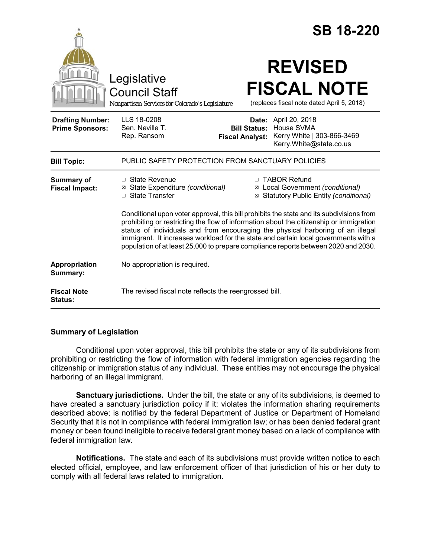|                                                   |                                                                                        | <b>SB 18-220</b>                                                                                                                                                                                                                                                                                                                                                                                                                                                                                                                                           |
|---------------------------------------------------|----------------------------------------------------------------------------------------|------------------------------------------------------------------------------------------------------------------------------------------------------------------------------------------------------------------------------------------------------------------------------------------------------------------------------------------------------------------------------------------------------------------------------------------------------------------------------------------------------------------------------------------------------------|
|                                                   | Legislative<br><b>Council Staff</b><br>Nonpartisan Services for Colorado's Legislature | <b>REVISED</b><br><b>FISCAL NOTE</b><br>(replaces fiscal note dated April 5, 2018)                                                                                                                                                                                                                                                                                                                                                                                                                                                                         |
| <b>Drafting Number:</b><br><b>Prime Sponsors:</b> | LLS 18-0208<br>Sen. Neville T.<br>Rep. Ransom                                          | <b>Date:</b> April 20, 2018<br>House SVMA<br><b>Bill Status:</b><br>Kerry White   303-866-3469<br><b>Fiscal Analyst:</b><br>Kerry.White@state.co.us                                                                                                                                                                                                                                                                                                                                                                                                        |
| <b>Bill Topic:</b>                                | PUBLIC SAFETY PROTECTION FROM SANCTUARY POLICIES                                       |                                                                                                                                                                                                                                                                                                                                                                                                                                                                                                                                                            |
| <b>Summary of</b><br><b>Fiscal Impact:</b>        | $\Box$ State Revenue<br>State Expenditure (conditional)<br>⊠<br>□ State Transfer       | □ TABOR Refund<br>Local Government (conditional)<br>⊠<br>Statutory Public Entity (conditional)<br>⊠<br>Conditional upon voter approval, this bill prohibits the state and its subdivisions from<br>prohibiting or restricting the flow of information about the citizenship or immigration<br>status of individuals and from encouraging the physical harboring of an illegal<br>immigrant. It increases workload for the state and certain local governments with a<br>population of at least 25,000 to prepare compliance reports between 2020 and 2030. |
| Appropriation<br>Summary:                         | No appropriation is required.                                                          |                                                                                                                                                                                                                                                                                                                                                                                                                                                                                                                                                            |
| <b>Fiscal Note</b><br><b>Status:</b>              | The revised fiscal note reflects the reengrossed bill.                                 |                                                                                                                                                                                                                                                                                                                                                                                                                                                                                                                                                            |

## **Summary of Legislation**

Conditional upon voter approval, this bill prohibits the state or any of its subdivisions from prohibiting or restricting the flow of information with federal immigration agencies regarding the citizenship or immigration status of any individual. These entities may not encourage the physical harboring of an illegal immigrant.

**Sanctuary jurisdictions.** Under the bill, the state or any of its subdivisions, is deemed to have created a sanctuary jurisdiction policy if it: violates the information sharing requirements described above; is notified by the federal Department of Justice or Department of Homeland Security that it is not in compliance with federal immigration law; or has been denied federal grant money or been found ineligible to receive federal grant money based on a lack of compliance with federal immigration law.

**Notifications.** The state and each of its subdivisions must provide written notice to each elected official, employee, and law enforcement officer of that jurisdiction of his or her duty to comply with all federal laws related to immigration.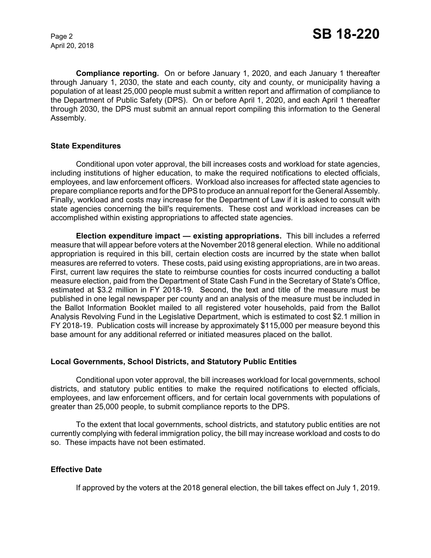April 20, 2018

**Compliance reporting.** On or before January 1, 2020, and each January 1 thereafter through January 1, 2030, the state and each county, city and county, or municipality having a population of at least 25,000 people must submit a written report and affirmation of compliance to the Department of Public Safety (DPS). On or before April 1, 2020, and each April 1 thereafter through 2030, the DPS must submit an annual report compiling this information to the General Assembly.

### **State Expenditures**

Conditional upon voter approval, the bill increases costs and workload for state agencies, including institutions of higher education, to make the required notifications to elected officials, employees, and law enforcement officers. Workload also increases for affected state agencies to prepare compliance reports and for the DPS to produce an annual report for the General Assembly. Finally, workload and costs may increase for the Department of Law if it is asked to consult with state agencies concerning the bill's requirements. These cost and workload increases can be accomplished within existing appropriations to affected state agencies.

**Election expenditure impact — existing appropriations.** This bill includes a referred measure that will appear before voters at the November 2018 general election. While no additional appropriation is required in this bill, certain election costs are incurred by the state when ballot measures are referred to voters. These costs, paid using existing appropriations, are in two areas. First, current law requires the state to reimburse counties for costs incurred conducting a ballot measure election, paid from the Department of State Cash Fund in the Secretary of State's Office, estimated at \$3.2 million in FY 2018-19. Second, the text and title of the measure must be published in one legal newspaper per county and an analysis of the measure must be included in the Ballot Information Booklet mailed to all registered voter households, paid from the Ballot Analysis Revolving Fund in the Legislative Department, which is estimated to cost \$2.1 million in FY 2018-19. Publication costs will increase by approximately \$115,000 per measure beyond this base amount for any additional referred or initiated measures placed on the ballot.

### **Local Governments, School Districts, and Statutory Public Entities**

Conditional upon voter approval, the bill increases workload for local governments, school districts, and statutory public entities to make the required notifications to elected officials, employees, and law enforcement officers, and for certain local governments with populations of greater than 25,000 people, to submit compliance reports to the DPS.

To the extent that local governments, school districts, and statutory public entities are not currently complying with federal immigration policy, the bill may increase workload and costs to do so. These impacts have not been estimated.

### **Effective Date**

If approved by the voters at the 2018 general election, the bill takes effect on July 1, 2019.